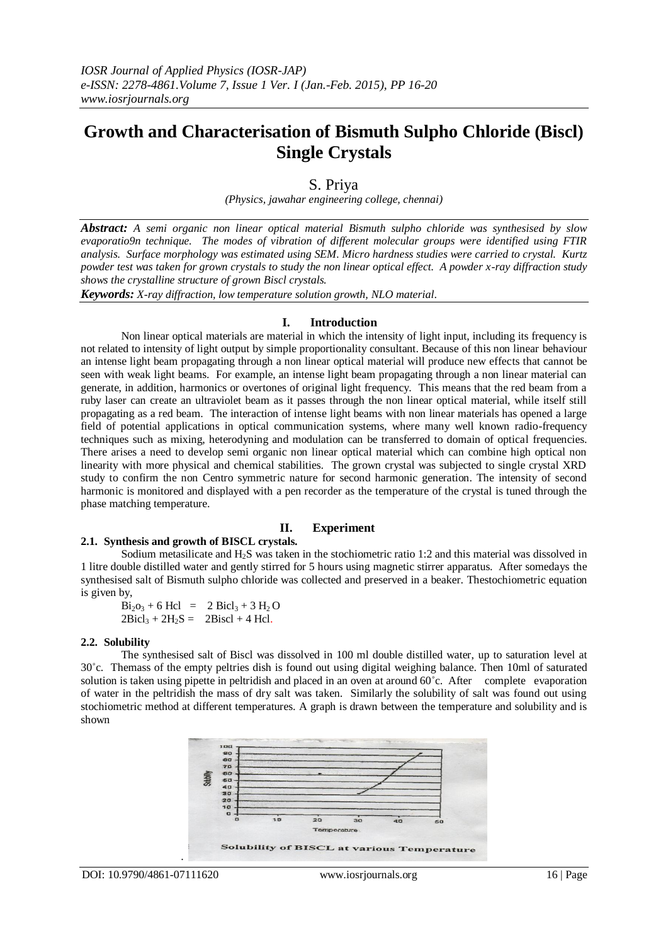# **Growth and Characterisation of Bismuth Sulpho Chloride (Biscl) Single Crystals**

# S. Priya

*(Physics, jawahar engineering college, chennai)*

*Abstract: A semi organic non linear optical material Bismuth sulpho chloride was synthesised by slow evaporatio9n technique. The modes of vibration of different molecular groups were identified using FTIR analysis. Surface morphology was estimated using SEM. Micro hardness studies were carried to crystal. Kurtz powder test was taken for grown crystals to study the non linear optical effect. A powder x-ray diffraction study shows the crystalline structure of grown Biscl crystals.*

*Keywords: X-ray diffraction, low temperature solution growth, NLO material*.

#### **I. Introduction**

Non linear optical materials are material in which the intensity of light input, including its frequency is not related to intensity of light output by simple proportionality consultant. Because of this non linear behaviour an intense light beam propagating through a non linear optical material will produce new effects that cannot be seen with weak light beams. For example, an intense light beam propagating through a non linear material can generate, in addition, harmonics or overtones of original light frequency. This means that the red beam from a ruby laser can create an ultraviolet beam as it passes through the non linear optical material, while itself still propagating as a red beam. The interaction of intense light beams with non linear materials has opened a large field of potential applications in optical communication systems, where many well known radio-frequency techniques such as mixing, heterodyning and modulation can be transferred to domain of optical frequencies. There arises a need to develop semi organic non linear optical material which can combine high optical non linearity with more physical and chemical stabilities. The grown crystal was subjected to single crystal XRD study to confirm the non Centro symmetric nature for second harmonic generation. The intensity of second harmonic is monitored and displayed with a pen recorder as the temperature of the crystal is tuned through the phase matching temperature.

## **II. Experiment**

#### **2.1. Synthesis and growth of BISCL crystals.**

Sodium metasilicate and H2S was taken in the stochiometric ratio 1:2 and this material was dissolved in 1 litre double distilled water and gently stirred for 5 hours using magnetic stirrer apparatus. After somedays the synthesised salt of Bismuth sulpho chloride was collected and preserved in a beaker. Thestochiometric equation is given by,

 $Bi<sub>2</sub>O<sub>3</sub> + 6$  Hcl = 2 Bicl<sub>3</sub> + 3 H<sub>2</sub> O  $2Bicl<sub>3</sub> + 2H<sub>2</sub>S = 2Biscl + 4 Hel.$ 

#### **2.2. Solubility**

The synthesised salt of Biscl was dissolved in 100 ml double distilled water, up to saturation level at 30˚c. Themass of the empty peltries dish is found out using digital weighing balance. Then 10ml of saturated solution is taken using pipette in peltridish and placed in an oven at around 60°c. After complete evaporation of water in the peltridish the mass of dry salt was taken. Similarly the solubility of salt was found out using stochiometric method at different temperatures. A graph is drawn between the temperature and solubility and is shown

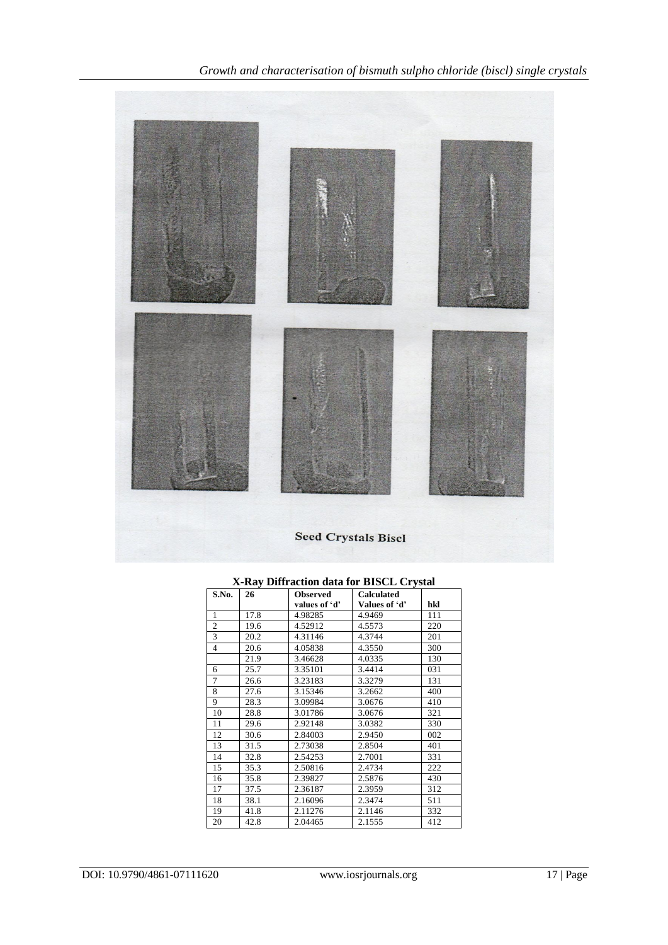

| S.No.            | 26   | <b>Observed</b> | <b>Calculated</b> |     |
|------------------|------|-----------------|-------------------|-----|
|                  |      | values of 'd'   | Values of 'd'     | hkl |
| 1                | 17.8 | 4.98285         | 4.9469            | 111 |
| $\boldsymbol{2}$ | 19.6 | 4.52912         | 4.5573            | 220 |
| 3                | 20.2 | 4.31146         | 4.3744            | 201 |
| $\overline{4}$   | 20.6 | 4.05838         | 4.3550            | 300 |
|                  | 21.9 | 3.46628         | 4.0335            | 130 |
| 6                | 25.7 | 3.35101         | 3.4414            | 031 |
| 7                | 26.6 | 3.23183         | 3.3279            | 131 |
| 8                | 27.6 | 3.15346         | 3.2662            | 400 |
| 9                | 28.3 | 3.09984         | 3.0676            | 410 |
| 10               | 28.8 | 3.01786         | 3.0676            | 321 |
| 11               | 29.6 | 2.92148         | 3.0382            | 330 |
| 12               | 30.6 | 2.84003         | 2.9450            | 002 |
| 13               | 31.5 | 2.73038         | 2.8504            | 401 |
| 14               | 32.8 | 2.54253         | 2.7001            | 331 |
| 15               | 35.3 | 2.50816         | 2.4734            | 222 |
| 16               | 35.8 | 2.39827         | 2.5876            | 430 |
| 17               | 37.5 | 2.36187         | 2.3959            | 312 |
| 18               | 38.1 | 2.16096         | 2.3474            | 511 |
| 19               | 41.8 | 2.11276         | 2.1146            | 332 |
| 20               | 42.8 | 2.04465         | 2.1555            | 412 |

# **X-Ray Diffraction data for BISCL Crystal**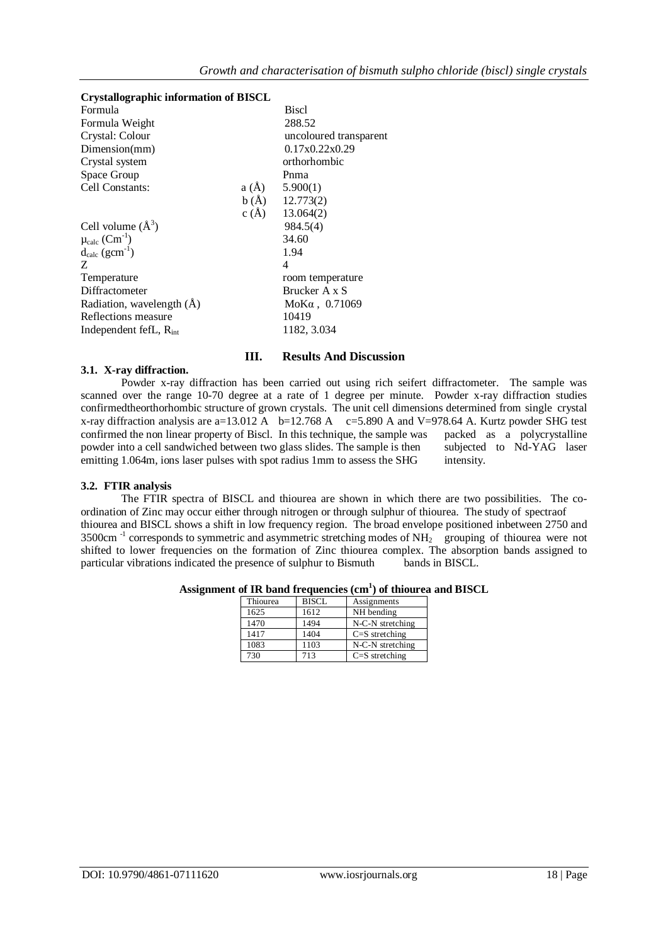| <b>Crystallographic information of BISCL</b> |          |                        |  |  |  |  |
|----------------------------------------------|----------|------------------------|--|--|--|--|
| Formula                                      |          | <b>Biscl</b>           |  |  |  |  |
| Formula Weight                               |          | 288.52                 |  |  |  |  |
| Crystal: Colour                              |          | uncoloured transparent |  |  |  |  |
| Dimension(mm)                                |          | 0.17x0.22x0.29         |  |  |  |  |
| Crystal system                               |          | orthorhombic           |  |  |  |  |
| Space Group                                  |          | Pnma                   |  |  |  |  |
| Cell Constants:                              | $a(\AA)$ | 5.900(1)               |  |  |  |  |
|                                              |          | $b(A)$ 12.773(2)       |  |  |  |  |
|                                              | c(A)     | 13.064(2)              |  |  |  |  |
| Cell volume $(\AA^3)$                        |          | 984.5(4)               |  |  |  |  |
| $\mu_{calc}$ (Cm <sup>-1</sup> )             |          | 34.60                  |  |  |  |  |
| $d_{calc}$ (gcm <sup>-1</sup> )              |          | 1.94                   |  |  |  |  |
| Z                                            |          | 4                      |  |  |  |  |
| Temperature                                  |          | room temperature       |  |  |  |  |
| Diffractometer                               |          | Brucker A x S          |  |  |  |  |
| Radiation, wavelength (A)                    |          | $M$ ο Κα, 0.71069      |  |  |  |  |
| Reflections measure                          |          | 10419                  |  |  |  |  |
| Independent fefL, $R_{int}$                  |          | 1182, 3.034            |  |  |  |  |

# **III. Results And Discussion**

#### **3.1. X-ray diffraction.**

Powder x-ray diffraction has been carried out using rich seifert diffractometer. The sample was scanned over the range 10-70 degree at a rate of 1 degree per minute. Powder x-ray diffraction studies confirmedtheorthorhombic structure of grown crystals. The unit cell dimensions determined from single crystal x-ray diffraction analysis are a=13.012 A  $b=12.768$  A  $c=5.890$  A and V=978.64 A. Kurtz powder SHG test confirmed the non linear property of Biscl. In this technique, the sample was packed as a polycrystalline powder into a cell sandwiched between two glass slides. The sample is then subjected to Nd-YAG laser emitting 1.064m, ions laser pulses with spot radius 1mm to assess the SHG intensity.

#### **3.2. FTIR analysis**

The FTIR spectra of BISCL and thiourea are shown in which there are two possibilities. The coordination of Zinc may occur either through nitrogen or through sulphur of thiourea. The study of spectraof thiourea and BISCL shows a shift in low frequency region. The broad envelope positioned inbetween 2750 and 3500cm<sup>-1</sup> corresponds to symmetric and asymmetric stretching modes of NH<sub>2</sub> grouping of thiourea were not shifted to lower frequencies on the formation of Zinc thiourea complex. The absorption bands assigned to particular vibrations indicated the presence of sulphur to Bismuth bands in BISCL.

| Thiourea | <b>BISCL</b> | Assignments        |
|----------|--------------|--------------------|
| 1625     | 1612         | NH bending         |
| 1470     | 1494         | N-C-N stretching   |
| 1417     | 1404         | $C = S$ stretching |
| 1083     | 1103         | N-C-N stretching   |
| 730      | 713          | $C = S$ stretching |

#### **Assignment of IR band frequencies (cm<sup>1</sup> ) of thiourea and BISCL**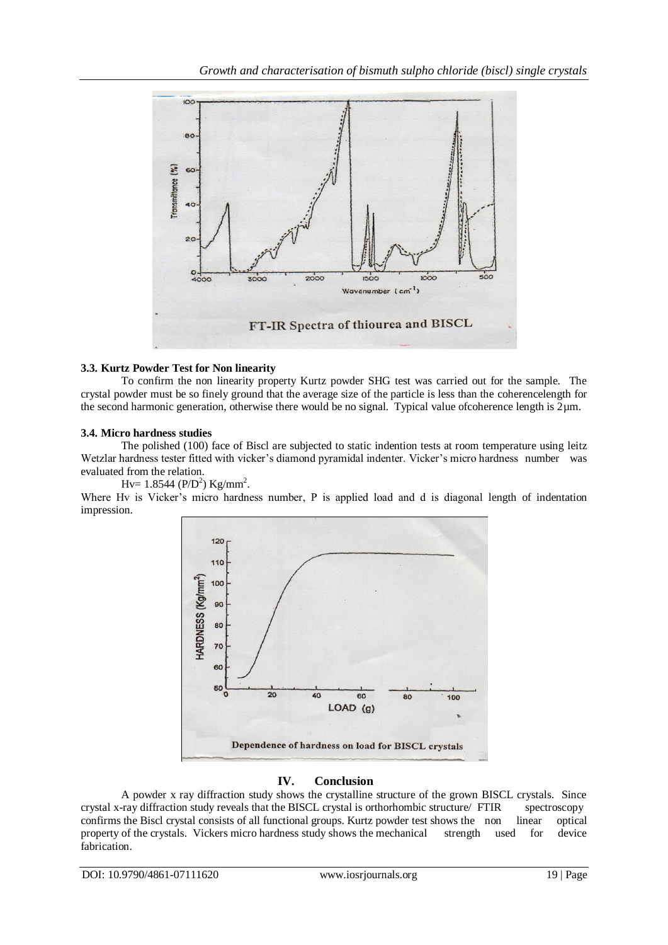

## **3.3. Kurtz Powder Test for Non linearity**

To confirm the non linearity property Kurtz powder SHG test was carried out for the sample. The crystal powder must be so finely ground that the average size of the particle is less than the coherencelength for the second harmonic generation, otherwise there would be no signal. Typical value of coherence length is  $2\mu$ m.

#### **3.4. Micro hardness studies**

The polished (100) face of Biscl are subjected to static indention tests at room temperature using leitz Wetzlar hardness tester fitted with vicker's diamond pyramidal indenter. Vicker's micro hardness number was evaluated from the relation.

Hv=  $1.8544$  (P/D<sup>2</sup>) Kg/mm<sup>2</sup>.

Where Hv is Vicker's micro hardness number, P is applied load and d is diagonal length of indentation impression.



# **IV. Conclusion**

A powder x ray diffraction study shows the crystalline structure of the grown BISCL crystals. Since crystal x-ray diffraction study reveals that the BISCL crystal is orthorhombic structure/ FTIR spectroscopy confirms the Biscl crystal consists of all functional groups. Kurtz powder test shows the non linear optical property of the crystals. Vickers micro hardness study shows the mechanical strength used for device fabrication.